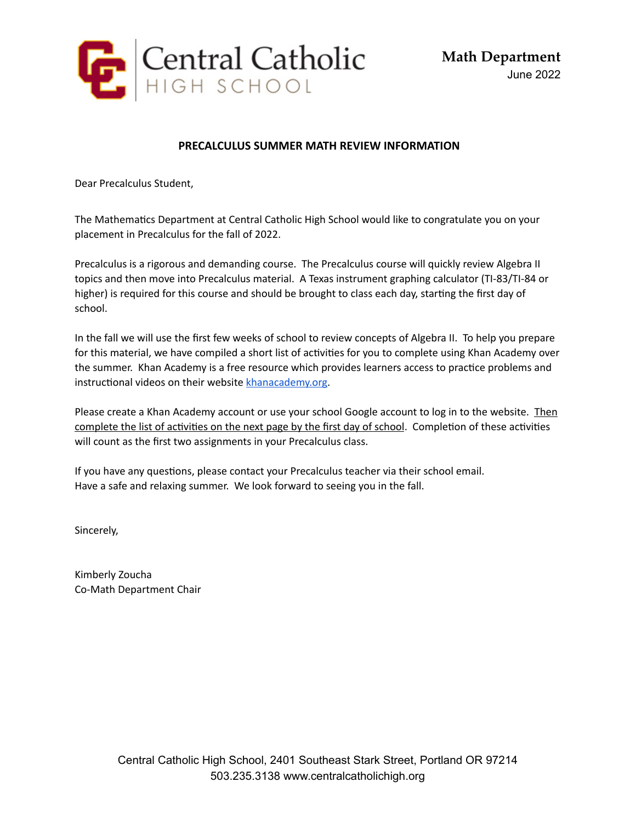

## **PRECALCULUS SUMMER MATH REVIEW INFORMATION**

Dear Precalculus Student,

The Mathematics Department at Central Catholic High School would like to congratulate you on your placement in Precalculus for the fall of 2022.

Precalculus is a rigorous and demanding course. The Precalculus course will quickly review Algebra II topics and then move into Precalculus material. A Texas instrument graphing calculator (TI-83/TI-84 or higher) is required for this course and should be brought to class each day, starting the first day of school.

In the fall we will use the first few weeks of school to review concepts of Algebra II. To help you prepare for this material, we have compiled a short list of activities for you to complete using Khan Academy over the summer. Khan Academy is a free resource which provides learners access to practice problems and instructional videos on their website [khanacademy.org](http://khanacademy.org/).

Please create a Khan Academy account or use your school Google account to log in to the website. Then complete the list of activities on the next page by the first day of school. Completion of these activities will count as the first two assignments in your Precalculus class.

If you have any questions, please contact your Precalculus teacher via their school email. Have a safe and relaxing summer. We look forward to seeing you in the fall.

Sincerely,

Kimberly Zoucha Co-Math Department Chair